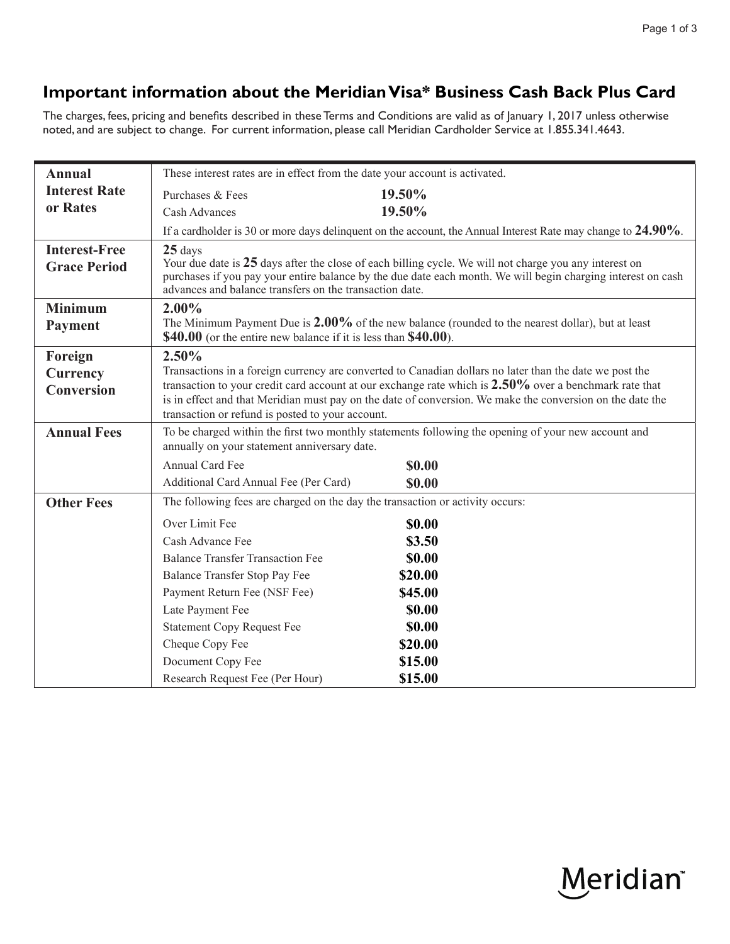## **Important information about the Meridian Visa\* Business Cash Back Plus Card**

The charges, fees, pricing and benefits described in these Terms and Conditions are valid as of January 1, 2017 unless otherwise noted, and are subject to change. For current information, please call Meridian Cardholder Service at 1.855.341.4643.

| <b>Annual</b>        | These interest rates are in effect from the date your account is activated.                                                                                                                                                                                                       |               |  |
|----------------------|-----------------------------------------------------------------------------------------------------------------------------------------------------------------------------------------------------------------------------------------------------------------------------------|---------------|--|
| <b>Interest Rate</b> | Purchases & Fees                                                                                                                                                                                                                                                                  | 19.50%        |  |
| or Rates             | <b>Cash Advances</b>                                                                                                                                                                                                                                                              | 19.50%        |  |
|                      | If a cardholder is 30 or more days delinguent on the account, the Annual Interest Rate may change to $24.90\%$ .                                                                                                                                                                  |               |  |
| <b>Interest-Free</b> | $25$ days                                                                                                                                                                                                                                                                         |               |  |
| <b>Grace Period</b>  | Your due date is 25 days after the close of each billing cycle. We will not charge you any interest on<br>purchases if you pay your entire balance by the due date each month. We will begin charging interest on cash<br>advances and balance transfers on the transaction date. |               |  |
| <b>Minimum</b>       | 2.00%                                                                                                                                                                                                                                                                             |               |  |
| Payment              | The Minimum Payment Due is $2.00\%$ of the new balance (rounded to the nearest dollar), but at least<br>\$40.00 (or the entire new balance if it is less than \$40.00).                                                                                                           |               |  |
| Foreign              | 2.50%                                                                                                                                                                                                                                                                             |               |  |
| <b>Currency</b>      | Transactions in a foreign currency are converted to Canadian dollars no later than the date we post the                                                                                                                                                                           |               |  |
| <b>Conversion</b>    | transaction to your credit card account at our exchange rate which is $2.50\%$ over a benchmark rate that<br>is in effect and that Meridian must pay on the date of conversion. We make the conversion on the date the<br>transaction or refund is posted to your account.        |               |  |
| <b>Annual Fees</b>   | To be charged within the first two monthly statements following the opening of your new account and                                                                                                                                                                               |               |  |
|                      | annually on your statement anniversary date.                                                                                                                                                                                                                                      |               |  |
|                      | <b>Annual Card Fee</b>                                                                                                                                                                                                                                                            | \$0.00        |  |
|                      | Additional Card Annual Fee (Per Card)                                                                                                                                                                                                                                             | \$0.00        |  |
| <b>Other Fees</b>    | The following fees are charged on the day the transaction or activity occurs:                                                                                                                                                                                                     |               |  |
|                      | Over Limit Fee                                                                                                                                                                                                                                                                    | \$0.00        |  |
|                      | Cash Advance Fee                                                                                                                                                                                                                                                                  | \$3.50        |  |
|                      | <b>Balance Transfer Transaction Fee</b>                                                                                                                                                                                                                                           | <b>\$0.00</b> |  |
|                      | <b>Balance Transfer Stop Pay Fee</b>                                                                                                                                                                                                                                              | \$20.00       |  |
|                      | Payment Return Fee (NSF Fee)                                                                                                                                                                                                                                                      | \$45.00       |  |
|                      | Late Payment Fee                                                                                                                                                                                                                                                                  | <b>\$0.00</b> |  |
|                      | <b>Statement Copy Request Fee</b>                                                                                                                                                                                                                                                 | <b>\$0.00</b> |  |
|                      | Cheque Copy Fee                                                                                                                                                                                                                                                                   | \$20.00       |  |
|                      | Document Copy Fee                                                                                                                                                                                                                                                                 | \$15.00       |  |
|                      | Research Request Fee (Per Hour)                                                                                                                                                                                                                                                   | \$15.00       |  |

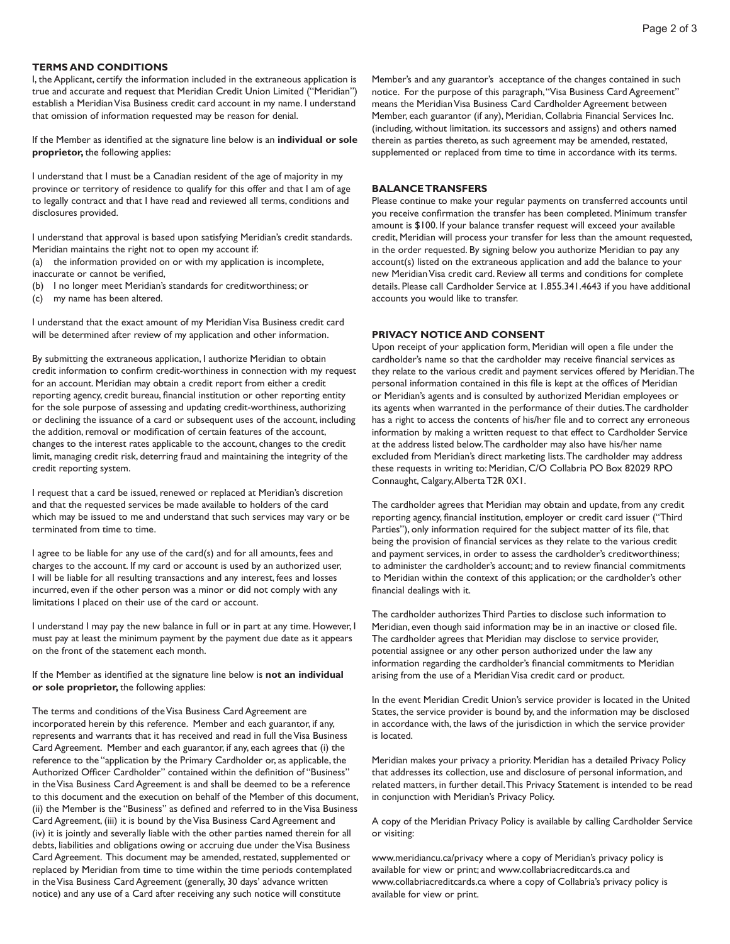#### **TERMS AND CONDITIONS**

I, the Applicant, certify the information included in the extraneous application is true and accurate and request that Meridian Credit Union Limited ("Meridian") establish a Meridian Visa Business credit card account in my name. I understand that omission of information requested may be reason for denial.

If the Member as identified at the signature line below is an **individual or sole proprietor,** the following applies:

I understand that I must be a Canadian resident of the age of majority in my province or territory of residence to qualify for this offer and that I am of age to legally contract and that I have read and reviewed all terms, conditions and disclosures provided.

I understand that approval is based upon satisfying Meridian's credit standards. Meridian maintains the right not to open my account if:

- (a) the information provided on or with my application is incomplete,
- inaccurate or cannot be verified,
- (b) I no longer meet Meridian's standards for creditworthiness; or
- (c) my name has been altered.

I understand that the exact amount of my Meridian Visa Business credit card will be determined after review of my application and other information.

By submitting the extraneous application, I authorize Meridian to obtain credit information to confirm credit-worthiness in connection with my request for an account. Meridian may obtain a credit report from either a credit reporting agency, credit bureau, financial institution or other reporting entity for the sole purpose of assessing and updating credit-worthiness, authorizing or declining the issuance of a card or subsequent uses of the account, including the addition, removal or modification of certain features of the account, changes to the interest rates applicable to the account, changes to the credit limit, managing credit risk, deterring fraud and maintaining the integrity of the credit reporting system.

I request that a card be issued, renewed or replaced at Meridian's discretion and that the requested services be made available to holders of the card which may be issued to me and understand that such services may vary or be terminated from time to time.

I agree to be liable for any use of the card(s) and for all amounts, fees and charges to the account. If my card or account is used by an authorized user, I will be liable for all resulting transactions and any interest, fees and losses incurred, even if the other person was a minor or did not comply with any limitations I placed on their use of the card or account.

I understand I may pay the new balance in full or in part at any time. However, I must pay at least the minimum payment by the payment due date as it appears on the front of the statement each month.

If the Member as identified at the signature line below is **not an individual or sole proprietor,** the following applies:

 Card Agreement. This document may be amended, restated, supplemented or The terms and conditions of the Visa Business Card Agreement are incorporated herein by this reference. Member and each guarantor, if any, represents and warrants that it has received and read in full the Visa Business Card Agreement. Member and each guarantor, if any, each agrees that (i) the reference to the "application by the Primary Cardholder or, as applicable, the Authorized Officer Cardholder" contained within the definition of "Business" in the Visa Business Card Agreement is and shall be deemed to be a reference to this document and the execution on behalf of the Member of this document, (ii) the Member is the "Business" as defined and referred to in the Visa Business Card Agreement, (iii) it is bound by the Visa Business Card Agreement and (iv) it is jointly and severally liable with the other parties named therein for all debts, liabilities and obligations owing or accruing due under the Visa Business replaced by Meridian from time to time within the time periods contemplated in the Visa Business Card Agreement (generally, 30 days' advance written notice) and any use of a Card after receiving any such notice will constitute

Member's and any guarantor's acceptance of the changes contained in such notice. For the purpose of this paragraph,"Visa Business Card Agreement" means the Meridian Visa Business Card Cardholder Agreement between Member, each guarantor (if any), Meridian, Collabria Financial Services Inc. (including, without limitation. its successors and assigns) and others named therein as parties thereto, as such agreement may be amended, restated, supplemented or replaced from time to time in accordance with its terms.

#### **BALANCE TRANSFERS**

Please continue to make your regular payments on transferred accounts until you receive confirmation the transfer has been completed. Minimum transfer amount is \$100. If your balance transfer request will exceed your available credit, Meridian will process your transfer for less than the amount requested, in the order requested. By signing below you authorize Meridian to pay any account(s) listed on the extraneous application and add the balance to your new Meridian Visa credit card. Review all terms and conditions for complete details. Please call Cardholder Service at 1.855.341.4643 if you have additional accounts you would like to transfer.

#### **PRIVACY NOTICE AND CONSENT**

Upon receipt of your application form, Meridian will open a file under the cardholder's name so that the cardholder may receive financial services as they relate to the various credit and payment services offered by Meridian.The personal information contained in this file is kept at the offices of Meridian or Meridian's agents and is consulted by authorized Meridian employees or its agents when warranted in the performance of their duties.The cardholder has a right to access the contents of his/her file and to correct any erroneous information by making a written request to that effect to Cardholder Service at the address listed below.The cardholder may also have his/her name excluded from Meridian's direct marketing lists.The cardholder may address these requests in writing to: Meridian, C/O Collabria PO Box 82029 RPO Connaught, Calgary,Alberta T2R 0X1.

The cardholder agrees that Meridian may obtain and update, from any credit reporting agency, financial institution, employer or credit card issuer ("Third Parties"), only information required for the subject matter of its file, that being the provision of financial services as they relate to the various credit and payment services, in order to assess the cardholder's creditworthiness; to administer the cardholder's account; and to review financial commitments to Meridian within the context of this application; or the cardholder's other financial dealings with it.

The cardholder authorizes Third Parties to disclose such information to Meridian, even though said information may be in an inactive or closed file. The cardholder agrees that Meridian may disclose to service provider, potential assignee or any other person authorized under the law any information regarding the cardholder's financial commitments to Meridian arising from the use of a Meridian Visa credit card or product.

 is located. In the event Meridian Credit Union's service provider is located in the United States, the service provider is bound by, and the information may be disclosed in accordance with, the laws of the jurisdiction in which the service provider

Meridian makes your privacy a priority. Meridian has a detailed Privacy Policy that addresses its collection, use and disclosure of personal information, and related matters, in further detail.This Privacy Statement is intended to be read in conjunction with Meridian's Privacy Policy.

A copy of the Meridian Privacy Policy is available by calling Cardholder Service or visiting:

<www.meridiancu.ca/privacy> where a copy of Meridian's privacy policy is available for view or print; and<www.collabriacreditcards.ca> and <www.collabriacreditcards.ca>where a copy of Collabria's privacy policy is available for view or print.